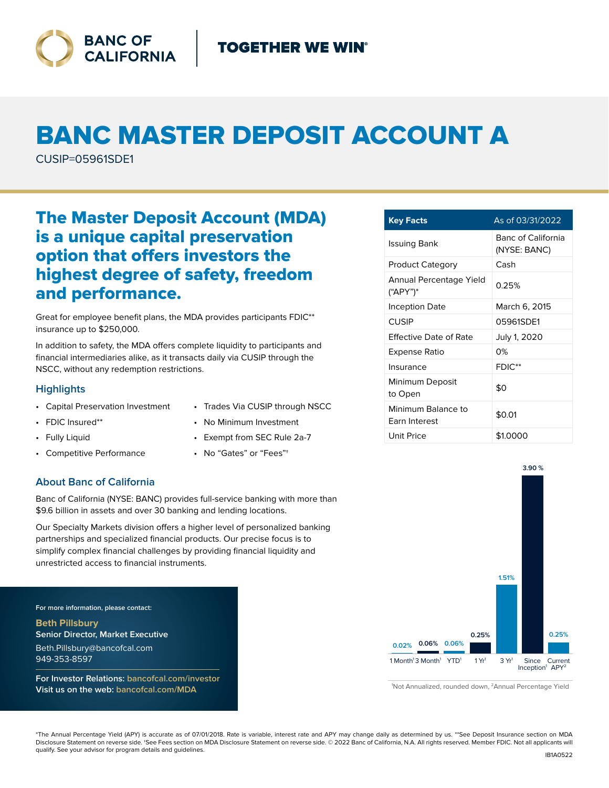

# BANC MASTER DEPOSIT ACCOUNT A

CUSIP=05961SDE1

# The Master Deposit Account (MDA) is a unique capital preservation option that offers investors the highest degree of safety, freedom and performance.

Great for employee benefit plans, the MDA provides participants FDIC\*\* insurance up to \$250,000.

In addition to safety, the MDA offers complete liquidity to participants and financial intermediaries alike, as it transacts daily via CUSIP through the NSCC, without any redemption restrictions.

### **Highlights**

- Capital Preservation Investment
- FDIC Insured\*\*
- Fully Liquid
- Competitive Performance
- Trades Via CUSIP through NSCC • No Minimum Investment
- Exempt from SEC Rule 2a-7
	- No "Gates" or "Fees"†

## **About Banc of California**

Banc of California (NYSE: BANC) provides full-service banking with more than \$9.6 billion in assets and over 30 banking and lending locations.

Our Specialty Markets division offers a higher level of personalized banking partnerships and specialized financial products. Our precise focus is to simplify complex financial challenges by providing financial liquidity and unrestricted access to financial instruments.

**For more information, please contact:**

**Beth Pillsbury Senior Director, Market Executive** Beth.Pillsbury@bancofcal.com 949-353-8597

**For Investor Relations: bancofcal.com/investor Visit us on the web: bancofcal.com/MDA**

| <b>Key Facts</b>                           | As of 03/31/2022                   |
|--------------------------------------------|------------------------------------|
| Issuing Bank                               | Banc of California<br>(NYSE: BANC) |
| <b>Product Category</b>                    | Cash                               |
| Annual Percentage Yield<br>("APY")*        | 0.25%                              |
| Inception Date                             | March 6, 2015                      |
| CUSIP                                      | 05961SDE1                          |
| Effective Date of Rate                     | July 1, 2020                       |
| Expense Ratio                              | 0%                                 |
| Insurance                                  | $FDIC**$                           |
| Minimum Deposit<br>to Open                 | \$0                                |
| Minimum Balance to<br><b>Farn Interest</b> | \$0.01                             |
| <b>Unit Price</b>                          | \$1.0000                           |



<sup>1</sup> Not Annualized, rounded down, 2Annual Percentage Yield

\*The Annual Percentage Yield (APY) is accurate as of 07/01/2018. Rate is variable, interest rate and APY may change daily as determined by us. \*\*See Deposit Insurance section on MDA Disclosure Statement on reverse side. †See Fees section on MDA Disclosure Statement on reverse side. © 2022 Banc of California, N.A. All rights reserved. Member FDIC. Not all applicants will qualify. See your advisor for program details and guidelines.